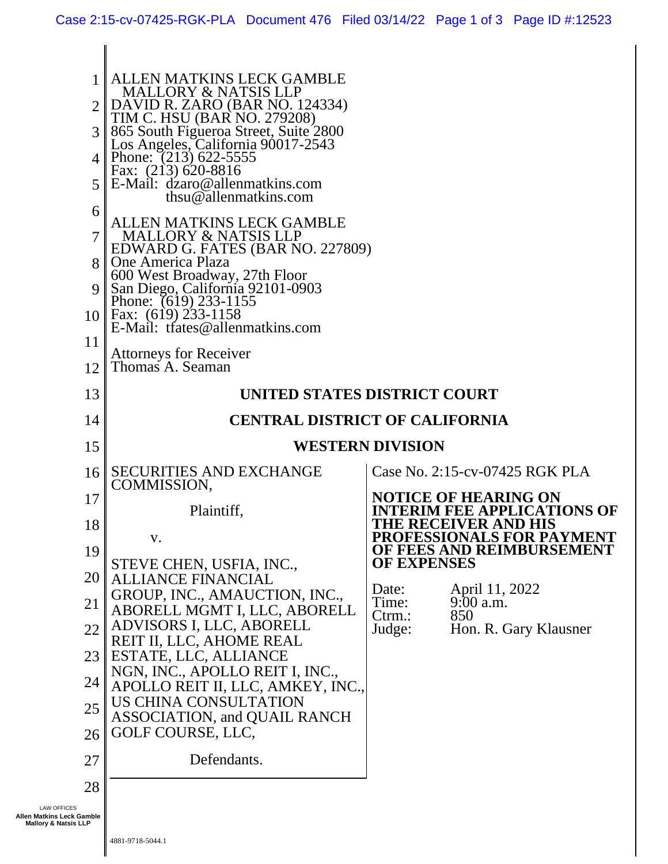| 1<br>6<br>7 <sup>1</sup><br>8 <sup>1</sup><br>11<br>12 <sub>1</sub>                | <b>ALLEN MATKINS LECK GAMBLE</b><br><b>MALLORY &amp; NATSIS LLP</b><br>DAVID R. ZARO (BAR NO. 124334)<br>TIM C. HSU (BAR NO. 279208)<br>3 865 South Figueroa Street, Suite 2800<br>Los Angeles, California 90017-2543<br>4   Phone: $(213)$ 622-5555<br>Fax: (213) 620-8816<br>$5 \, \text{E-Mail:}$ dzaro@allenmatkins.com<br>thsu@allenmatkins.com<br><b>ALLEN MATKINS LECK GAMBLE</b><br><b>MALLORY &amp; NATSIS LLP</b><br>EDWARD G. FATES (BAR NO. 227809)<br>One America Plaza<br>600 West Broadway, 27th Floor<br>9   San Diego, California 92101-0903<br>Phone: (619) 233-1155<br>10 Fax: $(619)$ 233-1158<br>E-Mail: trates@allenmatkins.com<br><b>Attorneys for Receiver</b><br>Thomas A. Seaman |                             |                                                                                                  |
|------------------------------------------------------------------------------------|------------------------------------------------------------------------------------------------------------------------------------------------------------------------------------------------------------------------------------------------------------------------------------------------------------------------------------------------------------------------------------------------------------------------------------------------------------------------------------------------------------------------------------------------------------------------------------------------------------------------------------------------------------------------------------------------------------|-----------------------------|--------------------------------------------------------------------------------------------------|
| 13                                                                                 | UNITED STATES DISTRICT COURT                                                                                                                                                                                                                                                                                                                                                                                                                                                                                                                                                                                                                                                                               |                             |                                                                                                  |
| 14                                                                                 | <b>CENTRAL DISTRICT OF CALIFORNIA</b>                                                                                                                                                                                                                                                                                                                                                                                                                                                                                                                                                                                                                                                                      |                             |                                                                                                  |
| 15                                                                                 |                                                                                                                                                                                                                                                                                                                                                                                                                                                                                                                                                                                                                                                                                                            | <b>WESTERN DIVISION</b>     |                                                                                                  |
| 16                                                                                 | <b>SECURITIES AND EXCHANGE</b><br>COMMISSION,                                                                                                                                                                                                                                                                                                                                                                                                                                                                                                                                                                                                                                                              |                             | Case No. 2:15-cv-07425 RGK PLA                                                                   |
| 17<br>18                                                                           | Plaintiff,                                                                                                                                                                                                                                                                                                                                                                                                                                                                                                                                                                                                                                                                                                 |                             | <b>NOTICE OF HEARING ON</b><br><b>INTERIM FEE APPLICATIONS OF</b><br><b>THE RECEIVER AND HIS</b> |
| 19                                                                                 | V.                                                                                                                                                                                                                                                                                                                                                                                                                                                                                                                                                                                                                                                                                                         |                             | PROFESSIONALS FOR PAYMENT<br>OF FEES AND REIMBURSEMENT                                           |
| 20 <sup>1</sup>                                                                    | STEVE CHEN, USFIA, INC.,<br><b>ALLIANCE FINANCIAL</b>                                                                                                                                                                                                                                                                                                                                                                                                                                                                                                                                                                                                                                                      | <b>OF EXPENSES</b>          |                                                                                                  |
| 21                                                                                 | GROUP, INC., AMAUCTION, INC.,<br>ABORELL MGMT I, LLC, ABORELL                                                                                                                                                                                                                                                                                                                                                                                                                                                                                                                                                                                                                                              | Date:<br>Time:<br>$C$ trm.: | April 11, 2022<br>$9:00$ a.m.<br>850                                                             |
| 22                                                                                 | ADVISORS I, LLC, ABORELL<br>REIT II, LLC, AHOME REAL                                                                                                                                                                                                                                                                                                                                                                                                                                                                                                                                                                                                                                                       | Judge:                      | Hon. R. Gary Klausner                                                                            |
| 23                                                                                 | ESTATE, LLC, ALLIANCE<br>NGN, INC., APOLLO REIT I, INC.,                                                                                                                                                                                                                                                                                                                                                                                                                                                                                                                                                                                                                                                   |                             |                                                                                                  |
| 24                                                                                 | APOLLO REIT II, LLC, AMKEY, INC.,                                                                                                                                                                                                                                                                                                                                                                                                                                                                                                                                                                                                                                                                          |                             |                                                                                                  |
| 25                                                                                 | US CHINA CONSULTATION<br><b>ASSOCIATION, and QUAIL RANCH</b>                                                                                                                                                                                                                                                                                                                                                                                                                                                                                                                                                                                                                                               |                             |                                                                                                  |
| 26                                                                                 | GOLF COURSE, LLC,                                                                                                                                                                                                                                                                                                                                                                                                                                                                                                                                                                                                                                                                                          |                             |                                                                                                  |
| 27                                                                                 | Defendants.                                                                                                                                                                                                                                                                                                                                                                                                                                                                                                                                                                                                                                                                                                |                             |                                                                                                  |
| 28                                                                                 |                                                                                                                                                                                                                                                                                                                                                                                                                                                                                                                                                                                                                                                                                                            |                             |                                                                                                  |
| <b>LAW OFFICES</b><br>Allen Matkins Leck Gamble<br><b>Mallory &amp; Natsis LLP</b> |                                                                                                                                                                                                                                                                                                                                                                                                                                                                                                                                                                                                                                                                                                            |                             |                                                                                                  |

 $\parallel$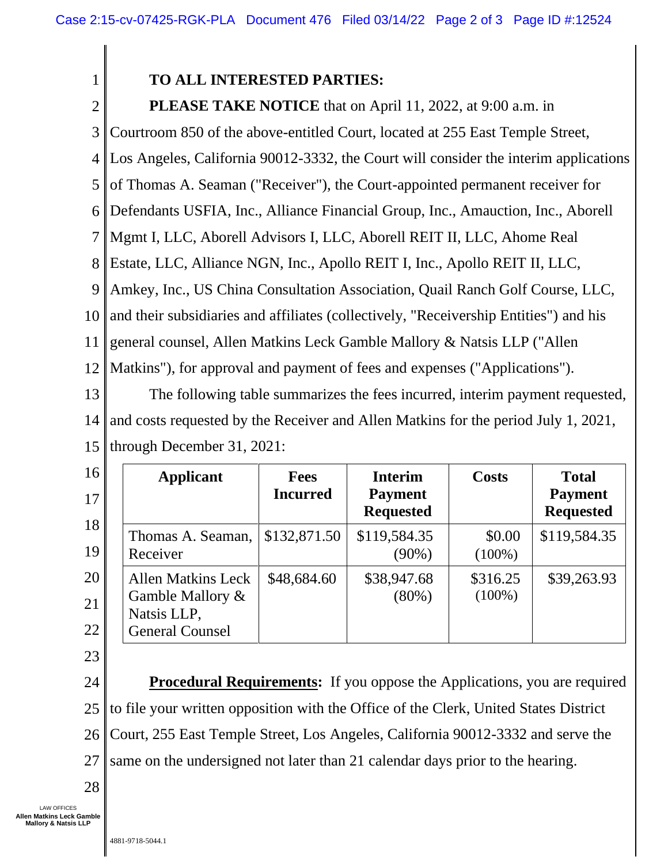## **TO ALL INTERESTED PARTIES:**

2

1

**PLEASE TAKE NOTICE** that on April 11, 2022, at 9:00 a.m. in

3 Courtroom 850 of the above-entitled Court, located at 255 East Temple Street,

4 Los Angeles, California 90012-3332, the Court will consider the interim applications

5 of Thomas A. Seaman ("Receiver"), the Court-appointed permanent receiver for

6 Defendants USFIA, Inc., Alliance Financial Group, Inc., Amauction, Inc., Aborell

7 Mgmt I, LLC, Aborell Advisors I, LLC, Aborell REIT II, LLC, Ahome Real

8 Estate, LLC, Alliance NGN, Inc., Apollo REIT I, Inc., Apollo REIT II, LLC,

9 Amkey, Inc., US China Consultation Association, Quail Ranch Golf Course, LLC,

10 and their subsidiaries and affiliates (collectively, "Receivership Entities") and his

11 general counsel, Allen Matkins Leck Gamble Mallory & Natsis LLP ("Allen

12 Matkins"), for approval and payment of fees and expenses ("Applications").

13 14 15 The following table summarizes the fees incurred, interim payment requested, and costs requested by the Receiver and Allen Matkins for the period July 1, 2021, through December 31, 2021:

| 16<br>17       | <b>Applicant</b>                                                                       | <b>Fees</b><br><b>Incurred</b> | <b>Interim</b><br><b>Payment</b><br><b>Requested</b> | <b>Costs</b>          | <b>Total</b><br><b>Payment</b><br><b>Requested</b> |
|----------------|----------------------------------------------------------------------------------------|--------------------------------|------------------------------------------------------|-----------------------|----------------------------------------------------|
| 18<br>19       | Thomas A. Seaman,<br>Receiver                                                          | \$132,871.50                   | \$119,584.35<br>$(90\%)$                             | \$0.00<br>$(100\%)$   | \$119,584.35                                       |
| 20<br>21<br>22 | <b>Allen Matkins Leck</b><br>Gamble Mallory &<br>Natsis LLP,<br><b>General Counsel</b> | \$48,684.60                    | \$38,947.68<br>$(80\%)$                              | \$316.25<br>$(100\%)$ | \$39,263.93                                        |

23

24 25 26 27 **Procedural Requirements:** If you oppose the Applications, you are required to file your written opposition with the Office of the Clerk, United States District Court, 255 East Temple Street, Los Angeles, California 90012-3332 and serve the same on the undersigned not later than 21 calendar days prior to the hearing.

28